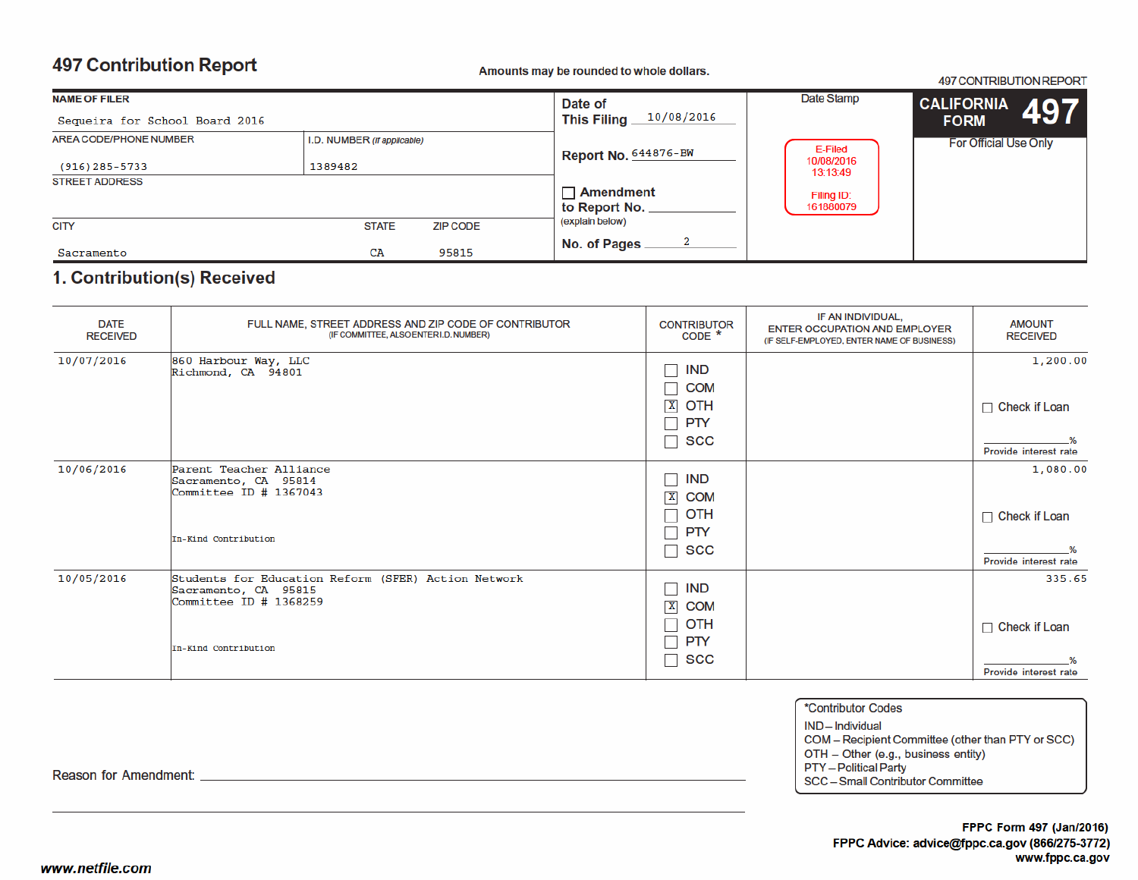# **497 Contribution Report**

### Amounts may be rounded to whole dollars.

497 CONTRIBUTION REPORT

| <b>NAME OF FILER</b>           |                             |                                   | Date of                        | Date Stamp             | $\left  \begin{smallmatrix} \text{CALIFORNIA} & 497 \end{smallmatrix} \right $ |  |
|--------------------------------|-----------------------------|-----------------------------------|--------------------------------|------------------------|--------------------------------------------------------------------------------|--|
| Sequeira for School Board 2016 |                             |                                   | 10/08/2016<br>This Filing $\_$ |                        | <b>FORM</b>                                                                    |  |
| AREA CODE/PHONE NUMBER         | I.D. NUMBER (if applicable) |                                   |                                | E-Filed                | <b>For Official Use Only</b>                                                   |  |
| $(916)$ 285-5733               | 1389482                     |                                   | <b>Report No. 644876-BW</b>    | 10/08/2016<br>13:13:49 |                                                                                |  |
| <b>STREET ADDRESS</b>          |                             | $\Box$ Amendment<br>to Report No. | Filing ID:<br>161880079        |                        |                                                                                |  |
| <b>CITY</b>                    | <b>STATE</b>                | <b>ZIP CODE</b>                   | (explain below)                |                        |                                                                                |  |
| Sacramento                     | CA                          | 95815                             | No. of Pages                   |                        |                                                                                |  |

## 1. Contribution(s) Received

| <b>DATE</b><br><b>RECEIVED</b> | FULL NAME, STREET ADDRESS AND ZIP CODE OF CONTRIBUTOR<br>(IF COMMITTEE, ALSO ENTER I.D. NUMBER)                                 | <b>CONTRIBUTOR</b><br>$CODE *$                                                     | IF AN INDIVIDUAL,<br><b>ENTER OCCUPATION AND EMPLOYER</b><br>(IF SELF-EMPLOYED, ENTER NAME OF BUSINESS) | <b>AMOUNT</b><br><b>RECEIVED</b>                          |
|--------------------------------|---------------------------------------------------------------------------------------------------------------------------------|------------------------------------------------------------------------------------|---------------------------------------------------------------------------------------------------------|-----------------------------------------------------------|
| 10/07/2016                     | 860 Harbour Way, LLC<br>Richmond, CA 94801                                                                                      | <b>IND</b><br><b>COM</b><br>$\mathbf{X}$<br>OTH<br><b>PTY</b><br>SCC               |                                                                                                         | 1,200.00<br>$\Box$ Check if Loan<br>Provide interest rate |
| 10/06/2016                     | Parent Teacher Alliance<br>Sacramento, CA 95814<br>Committee ID # 1367043<br>In-Kind Contribution                               | IND<br>$\mathbf{X}$<br><b>COM</b><br>OTH<br><b>PTY</b><br><b>SCC</b>               |                                                                                                         | 1,080.00<br>$\Box$ Check if Loan<br>Provide interest rate |
| 10/05/2016                     | Students for Education Reform (SFER) Action Network<br>Sacramento, CA 95815<br>Committee $ID$ # 1368259<br>In-Kind Contribution | <b>IND</b><br>$\mathbf{X}$<br><b>COM</b><br><b>OTH</b><br><b>PTY</b><br><b>SCC</b> |                                                                                                         | 335.65<br>$\Box$ Check if Loan<br>Provide interest rate   |

\*Contributor Codes IND-Individual COM - Recipient Committee (other than PTY or SCC)

OTH - Other (e.g., business entity)

**PTY** - Political Party

SCC - Small Contributor Committee

Reason for Amendment: